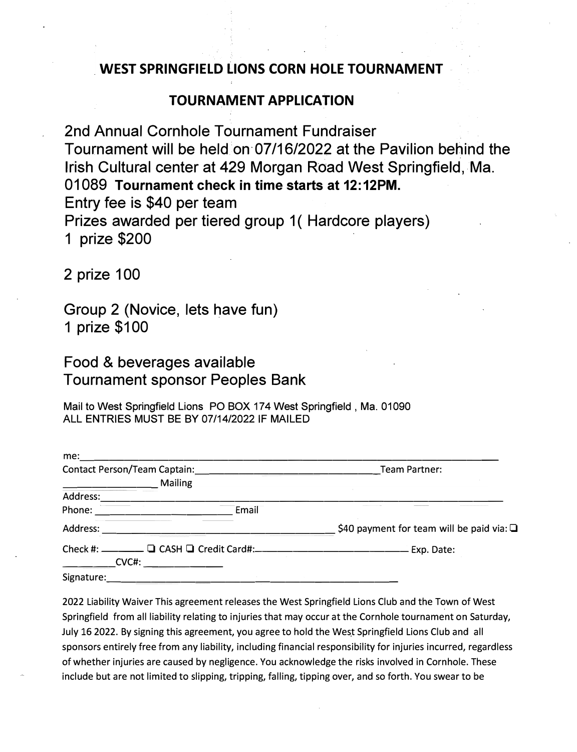## **WEST SPRINGFIELD LIONS CORN HOLE TOURNAMENT**

## **TOURNAMENT APPLICATION**

2nd Annual Cornhole Tournament Fundraiser Tournament will be held on 07/16/2022 at the Pavilion behind the Irish Cultural center at 429 Morgan Road West Springfield, Ma. 01089 **Tournament check in time starts at 12:12PM.** Entry fee is \$40 per team Prizes awarded per tiered group 1 (Hardcore players) 1 prize \$200

2 prize 100

Group 2 (Novice, lets have fun) 1 prize \$100

Food & beverages available Tournament sponsor Peoples Bank

Mail to West Springfield Lions PO BOX 174 West Springfield, Ma. 01090 ALL ENTRIES MUST BE BY 07/14/2022 IF MAILED

|  |                                                                                                                 | Team Partner:                                  |
|--|-----------------------------------------------------------------------------------------------------------------|------------------------------------------------|
|  | <b>Mailing</b>                                                                                                  |                                                |
|  |                                                                                                                 |                                                |
|  | Phone: _________________________<br>Email                                                                       |                                                |
|  |                                                                                                                 | \$40 payment for team will be paid via: $\Box$ |
|  |                                                                                                                 |                                                |
|  | $\begin{array}{c} \begin{array}{c} \begin{array}{c} \textbf{CVC}\text{\#}: \end{array} \end{array} \end{array}$ |                                                |
|  |                                                                                                                 |                                                |

2022 Liability Waiver This agreement releases the West Springfield Lions Club and the Town of West Springfield from all liability relating to injuries that may occur at the Cornhole tournament on Saturday, July 16 2022. By signing this agreement, you agree to hold the West Springfield Lions Club and all sponsors entirely free from any liability, including financial responsibility for injuries incurred, regardless of whether injuries are caused by negligence. You acknowledge the risks involved in Cornhole. These include but are not limited to slipping, tripping, falling, tipping over, and so forth. You swear to be